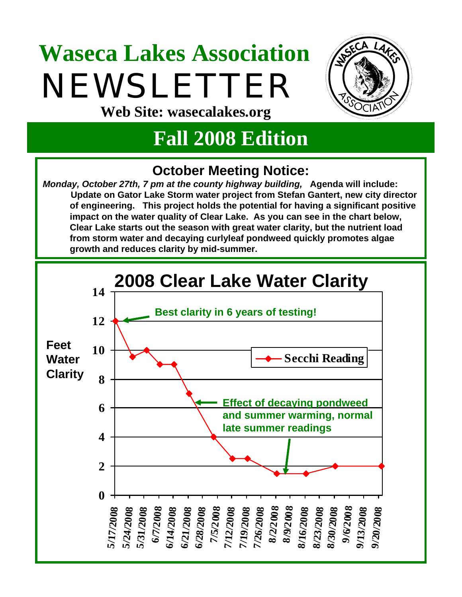# **Waseca Lakes Association** NEWSLETTER **Web Site: wasecalakes.org**



# **Fall 2008 Edition**

## **October Meeting Notice:**

*Monday, October 27th, 7 pm at the county highway building,* **Agenda will include: Update on Gator Lake Storm water project from Stefan Gantert, new city director of engineering. This project holds the potential for having a significant positive impact on the water quality of Clear Lake. As you can see in the chart below, Clear Lake starts out the season with great water clarity, but the nutrient load from storm water and decaying curlyleaf pondweed quickly promotes algae growth and reduces clarity by mid-summer.**